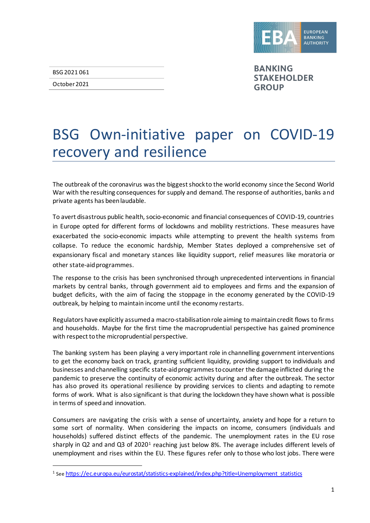

BSG 2021 061

October 2021

**BANKING STAKEHOLDER GROUP** 

# BSG Own-initiative paper on COVID-19 recovery and resilience

The outbreak of the coronavirus wasthe biggest shock to the world economy since the Second World War with the resulting consequences for supply and demand. The response of authorities, banks and private agents has been laudable.

To avert disastrous public health, socio-economic and financial consequences of COVID-19, countries in Europe opted for different forms of lockdowns and mobility restrictions. These measures have exacerbated the socio-economic impacts while attempting to prevent the health systems from collapse. To reduce the economic hardship, Member States deployed a comprehensive set of expansionary fiscal and monetary stances like liquidity support, relief measures like moratoria or other state-aid programmes.

The response to the crisis has been synchronised through unprecedented interventions in financial markets by central banks, through government aid to employees and firms and the expansion of budget deficits, with the aim of facing the stoppage in the economy generated by the COVID-19 outbreak, by helping to maintain income until the economy restarts.

Regulators have explicitly assumed a macro-stabilisationrole aiming to maintain credit flows to firms and households. Maybe for the first time the macroprudential perspective has gained prominence with respect to the microprudential perspective.

The banking system has been playing a very important role in channelling government interventions to get the economy back on track, granting sufficient liquidity, providing support to individuals and businesses and channelling specific state-aid programmes to counter the damage inflicted during the pandemic to preserve the continuity of economic activity during and after the outbreak. The sector has also proved its operational resilience by providing services to clients and adapting to remote forms of work. What is also significant is that during the lockdown they have shown what is possible in terms of speed and innovation.

Consumers are navigating the crisis with a sense of uncertainty, anxiety and hope for a return to some sort of normality. When considering the impacts on income, consumers (individuals and households) suffered distinct effects of the pandemic. The unemployment rates in the EU rose sharply in Q2 and and Q3 of 2020<sup>[1](#page-0-0)</sup> reaching just below 8%. The average includes different levels of unemployment and rises within the EU. These figures refer only to those who lost jobs. There were

<span id="page-0-0"></span><sup>&</sup>lt;sup>1</sup> Se[e https://ec.europa.eu/eurostat/statistics-explained/index.php?title=Unemployment\\_statistics](https://ec.europa.eu/eurostat/statistics-explained/index.php?title=Unemployment_statistics)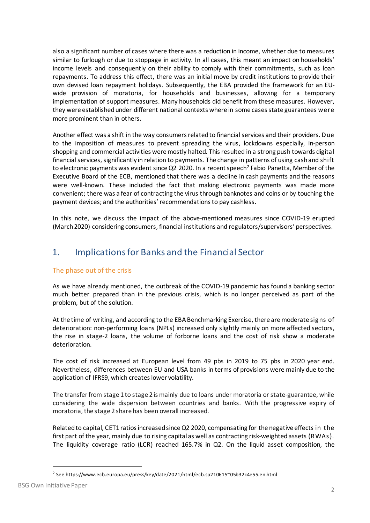also a significant number of cases where there was a reduction in income, whether due to measures similar to furlough or due to stoppage in activity. In all cases, this meant an impact on households' income levels and consequently on their ability to comply with their commitments, such as loan repayments. To address this effect, there was an initial move by credit institutions to provide their own devised loan repayment holidays. Subsequently, the EBA provided the framework for an EUwide provision of moratoria, for households and businesses, allowing for a temporary implementation of support measures. Many households did benefit from these measures. However, they were established under different national contexts where in some cases state guarantees were more prominent than in others.

Another effect was a shift in the way consumers related to financial services and their providers. Due to the imposition of measures to prevent spreading the virus, lockdowns especially, in-person shopping and commercial activities were mostly halted. This resulted in a strong push towards digital financial services, significantly in relation to payments. The change in patterns of using cash and shift to electronic payments was evident since Q[2](#page-1-0) 2020. In a recent speech<sup>2</sup> Fabio Panetta, Member of the Executive Board of the ECB, mentioned that there was a decline in cash payments and the reasons were well-known. These included the fact that making electronic payments was made more convenient; there was a fear of contracting the virus through banknotes and coins or by touching the payment devices; and the authorities' recommendations to pay cashless.

In this note, we discuss the impact of the above-mentioned measures since COVID-19 erupted (March 2020) considering consumers, financial institutions and regulators/supervisors' perspectives.

# 1. Implications for Banks and the Financial Sector

### The phase out of the crisis

As we have already mentioned, the outbreak of the COVID-19 pandemic has found a banking sector much better prepared than in the previous crisis, which is no longer perceived as part of the problem, but of the solution.

At the time of writing, and according to the EBA Benchmarking Exercise, there are moderate signs of deterioration: non-performing loans (NPLs) increased only slightly mainly on more affected sectors, the rise in stage-2 loans, the volume of forborne loans and the cost of risk show a moderate deterioration.

The cost of risk increased at European level from 49 pbs in 2019 to 75 pbs in 2020 year end. Nevertheless, differences between EU and USA banks in terms of provisions were mainly due to the application of IFRS9, which creates lower volatility.

The transfer from stage 1 to stage 2 is mainly due to loans under moratoria or state-guarantee, while considering the wide dispersion between countries and banks. With the progressive expiry of moratoria, the stage 2 share has been overall increased.

Related to capital, CET1 ratios increased since Q2 2020, compensating for the negative effects in the first part of the year, mainly due to rising capital as well as contracting risk-weighted assets (RWAs). The liquidity coverage ratio (LCR) reached 165.7% in Q2. On the liquid asset composition, the

<span id="page-1-0"></span><sup>2</sup> See https://www.ecb.europa.eu/press/key/date/2021/html/ecb.sp210615~05b32c4e55.en.html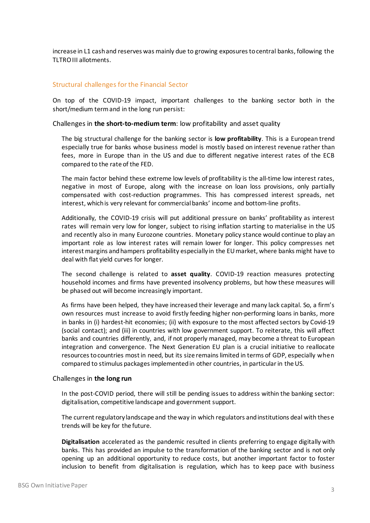increase in L1 cash and reserves was mainly due to growing exposures to central banks, following the TLTRO III allotments.

#### Structural challenges for the Financial Sector

On top of the COVID-19 impact, important challenges to the banking sector both in the short/medium term and in the long run persist:

Challenges in **the short-to-medium term**: low profitability and asset quality

The big structural challenge for the banking sector is **low profitability**. This is a European trend especially true for banks whose business model is mostly based on interest revenue rather than fees, more in Europe than in the US and due to different negative interest rates of the ECB compared to the rate of the FED.

The main factor behind these extreme low levels of profitability is the all-time low interest rates, negative in most of Europe, along with the increase on loan loss provisions, only partially compensated with cost-reduction programmes. This has compressed interest spreads, net interest, which is very relevant for commercial banks' income and bottom-line profits.

Additionally, the COVID-19 crisis will put additional pressure on banks' profitability as interest rates will remain very low for longer, subject to rising inflation starting to materialise in the US and recently also in many Eurozone countries. Monetary policy stance would continue to play an important role as low interest rates will remain lower for longer. This policy compresses net interest margins and hampers profitability especially in the EU market, where banks might have to deal with flat yield curves for longer.

The second challenge is related to **asset quality**. COVID-19 reaction measures protecting household incomes and firms have prevented insolvency problems, but how these measures will be phased out will become increasingly important.

As firms have been helped, they have increased their leverage and many lack capital. So, a firm's own resources must increase to avoid firstly feeding higher non-performing loans in banks, more in banks in (i) hardest-hit economies; (ii) with exposure to the most affected sectors by Covid-19 (social contact); and (iii) in countries with low government support. To reiterate, this will affect banks and countries differently, and, if not properly managed, may become a threat to European integration and convergence. The Next Generation EU plan is a crucial initiative to reallocate resources to countries most in need, but its size remains limited in terms of GDP, especially when compared to stimulus packages implemented in other countries, in particular in the US.

#### Challenges in **the long run**

In the post-COVID period, there will still be pending issues to address within the banking sector: digitalisation, competitive landscape and government support.

The current regulatory landscape and the way in which regulators and institutions deal with these trends will be key for the future.

**Digitalisation** accelerated as the pandemic resulted in clients preferring to engage digitally with banks. This has provided an impulse to the transformation of the banking sector and is not only opening up an additional opportunity to reduce costs, but another important factor to foster inclusion to benefit from digitalisation is regulation, which has to keep pace with business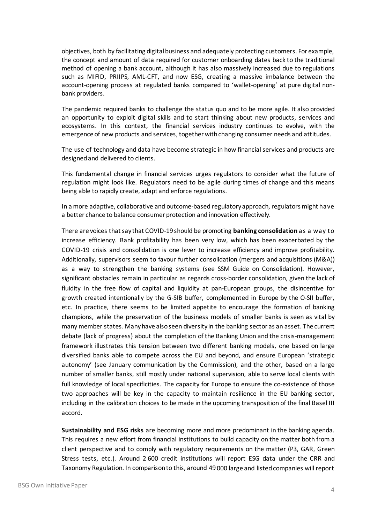objectives, both by facilitating digital business and adequately protecting customers. For example, the concept and amount of data required for customer onboarding dates back to the traditional method of opening a bank account, although it has also massively increased due to regulations such as MIFID, PRIIPS, AML-CFT, and now ESG, creating a massive imbalance between the account-opening process at regulated banks compared to 'wallet-opening' at pure digital nonbank providers.

The pandemic required banks to challenge the status quo and to be more agile. It also provided an opportunity to exploit digital skills and to start thinking about new products, services and ecosystems. In this context, the financial services industry continues to evolve, with the emergence of new products and services, together with changing consumer needs and attitudes.

The use of technology and data have become strategic in how financial services and products are designed and delivered to clients.

This fundamental change in financial services urges regulators to consider what the future of regulation might look like. Regulators need to be agile during times of change and this means being able to rapidly create, adapt and enforce regulations.

In a more adaptive, collaborative and outcome-based regulatory approach, regulators might have a better chance to balance consumer protection and innovation effectively.

There are voices that say that COVID-19 should be promoting **banking consolidation** as a way to increase efficiency. Bank profitability has been very low, which has been exacerbated by the COVID-19 crisis and consolidation is one lever to increase efficiency and improve profitability. Additionally, supervisors seem to favour further consolidation (mergers and acquisitions (M&A)) as a way to strengthen the banking systems (see SSM Guide on Consolidation). However, significant obstacles remain in particular as regards cross-border consolidation, given the lack of fluidity in the free flow of capital and liquidity at pan-European groups, the disincentive for growth created intentionally by the G-SIB buffer, complemented in Europe by the O-SII buffer, etc. In practice, there seems to be limited appetite to encourage the formation of banking champions, while the preservation of the business models of smaller banks is seen as vital by many member states. Many have also seen diversity in the banking sector as an asset. The current debate (lack of progress) about the completion of the Banking Union and the crisis-management framework illustrates this tension between two different banking models, one based on large diversified banks able to compete across the EU and beyond, and ensure European 'strategic autonomy' (see January communication by the Commission), and the other, based on a large number of smaller banks, still mostly under national supervision, able to serve local clients with full knowledge of local specificities. The capacity for Europe to ensure the co-existence of those two approaches will be key in the capacity to maintain resilience in the EU banking sector, including in the calibration choices to be made in the upcoming transposition of the final Basel III accord.

**Sustainability and ESG risks** are becoming more and more predominant in the banking agenda. This requires a new effort from financial institutions to build capacity on the matter both from a client perspective and to comply with regulatory requirements on the matter (P3, GAR, Green Stress tests, etc.). Around 2 600 credit institutions will report ESG data under the CRR and Taxonomy Regulation. In comparison to this, around 49 000 large and listed companies will report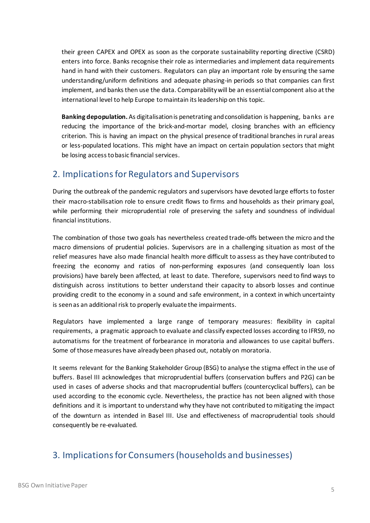their green CAPEX and OPEX as soon as the corporate sustainability reporting directive (CSRD) enters into force. Banks recognise their role as intermediaries and implement data requirements hand in hand with their customers. Regulators can play an important role by ensuring the same understanding/uniform definitions and adequate phasing-in periods so that companies can first implement, and banks then use the data. Comparability will be an essential component also at the international level to help Europe to maintain its leadership on this topic.

**Banking depopulation.** As digitalisationis penetrating and consolidation is happening, banks are reducing the importance of the brick-and-mortar model, closing branches with an efficiency criterion. This is having an impact on the physical presence of traditional branches in rural areas or less-populated locations. This might have an impact on certain population sectors that might be losing access to basic financial services.

## 2. Implications for Regulators and Supervisors

During the outbreak of the pandemic regulators and supervisors have devoted large efforts to foster their macro-stabilisation role to ensure credit flows to firms and households as their primary goal, while performing their microprudential role of preserving the safety and soundness of individual financial institutions.

The combination of those two goals has nevertheless created trade-offs between the micro and the macro dimensions of prudential policies. Supervisors are in a challenging situation as most of the relief measures have also made financial health more difficult to assess as they have contributed to freezing the economy and ratios of non-performing exposures (and consequently loan loss provisions) have barely been affected, at least to date. Therefore, supervisors need to find ways to distinguish across institutions to better understand their capacity to absorb losses and continue providing credit to the economy in a sound and safe environment, in a context in which uncertainty is seen as an additional risk to properly evaluate the impairments.

Regulators have implemented a large range of temporary measures: flexibility in capital requirements, a pragmatic approach to evaluate and classify expected losses according to IFRS9, no automatisms for the treatment of forbearance in moratoria and allowances to use capital buffers. Some of those measures have already been phased out, notably on moratoria.

It seems relevant for the Banking Stakeholder Group (BSG) to analyse the stigma effect in the use of buffers. Basel III acknowledges that microprudential buffers (conservation buffers and P2G) can be used in cases of adverse shocks and that macroprudential buffers (countercyclical buffers), can be used according to the economic cycle. Nevertheless, the practice has not been aligned with those definitions and it is important to understand why they have not contributed to mitigating the impact of the downturn as intended in Basel III. Use and effectiveness of macroprudential tools should consequently be re-evaluated.

# 3. Implications for Consumers (households and businesses)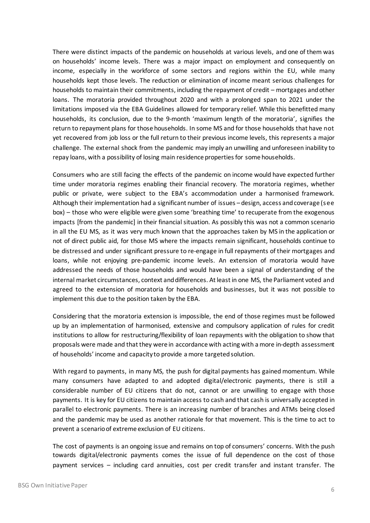There were distinct impacts of the pandemic on households at various levels, and one of them was on households' income levels. There was a major impact on employment and consequently on income, especially in the workforce of some sectors and regions within the EU, while many households kept those levels. The reduction or elimination of income meant serious challenges for households to maintain their commitments, including the repayment of credit – mortgages and other loans. The moratoria provided throughout 2020 and with a prolonged span to 2021 under the limitations imposed via the EBA Guidelines allowed for temporary relief. While this benefitted many households, its conclusion, due to the 9-month 'maximum length of the moratoria', signifies the return to repayment plans for those households. In some MS and for those households that have not yet recovered from job loss or the full return to their previous income levels, this represents a major challenge. The external shock from the pandemic may imply an unwilling and unforeseen inability to repay loans, with a possibility of losing main residence propertiesfor some households.

Consumers who are still facing the effects of the pandemic on income would have expected further time under moratoria regimes enabling their financial recovery. The moratoria regimes, whether public or private, were subject to the EBA's accommodation under a harmonised framework. Although their implementation had a significant number of issues – design, access and coverage (see box) – those who were eligible were given some 'breathing time' to recuperate from the exogenous impacts [from the pandemic] in their financial situation. As possibly this was not a common scenario in all the EU MS, as it was very much known that the approaches taken by MS in the application or not of direct public aid, for those MS where the impacts remain significant, households continue to be distressed and under significant pressure to re-engage in full repayments of their mortgages and loans, while not enjoying pre-pandemic income levels. An extension of moratoria would have addressed the needs of those households and would have been a signal of understanding of the internal market circumstances, context and differences. At least in one MS, the Parliament voted and agreed to the extension of moratoria for households and businesses, but it was not possible to implement this due to the position taken by the EBA.

Considering that the moratoria extension is impossible, the end of those regimes must be followed up by an implementation of harmonised, extensive and compulsory application of rules for credit institutions to allow for restructuring/flexibility of loan repayments with the obligation to show that proposals were made and that they were in accordance with acting with a more in-depth assessment of households' income and capacity to provide a more targeted solution.

With regard to payments, in many MS, the push for digital payments has gained momentum. While many consumers have adapted to and adopted digital/electronic payments, there is still a considerable number of EU citizens that do not, cannot or are unwilling to engage with those payments. It is key for EU citizens to maintain access to cash and that cash is universally accepted in parallel to electronic payments. There is an increasing number of branches and ATMs being closed and the pandemic may be used as another rationale for that movement. This is the time to act to prevent a scenario of extreme exclusion of EU citizens.

The cost of payments is an ongoing issue and remains on top of consumers' concerns. With the push towards digital/electronic payments comes the issue of full dependence on the cost of those payment services – including card annuities, cost per credit transfer and instant transfer. The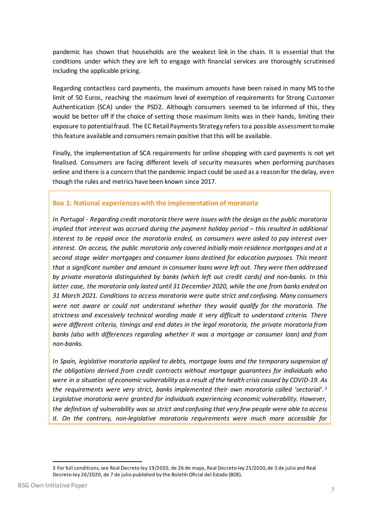pandemic has shown that households are the weakest link in the chain. It is essential that the conditions under which they are left to engage with financial services are thoroughly scrutinised including the applicable pricing.

Regarding contactless card payments, the maximum amounts have been raised in many MS to the limit of 50 Euros, reaching the maximum level of exemption of requirements for Strong Customer Authentication (SCA) under the PSD2. Although consumers seemed to be informed of this, they would be better off if the choice of setting those maximum limits was in their hands, limiting their exposure to potential fraud. The EC Retail Payments Strategy refers to a possible assessment to make this feature available and consumers remain positive that this will be available.

Finally, the implementation of SCA requirements for online shopping with card payments is not yet finalised. Consumers are facing different levels of security measures when performing purchases online and there is a concern that the pandemic impact could be used as a reason for the delay, even though the rules and metrics have been known since 2017.

#### **Box 1: National experiences with the implementation of moratoria**

*In Portugal - Regarding credit moratoria there were issues with the design as the public moratoria implied that interest was accrued during the payment holiday period – this resulted in additional interest to be repaid once the moratoria ended, as consumers were asked to pay interest over interest. On access, the public moratoria only covered initially main residence mortgages and at a second stage wider mortgages and consumer loans destined for education purposes. This meant that a significant number and amount in consumer loans were left out. They were then addressed by private moratoria distinguished by banks (which left out credit cards) and non-banks. In this latter case, the moratoria only lasted until 31 December 2020, while the one from banks ended on 31 March 2021. Conditions to access moratoria were quite strict and confusing. Many consumers were not aware or could not understand whether they would qualify for the moratoria. The strictness and excessively technical wording made it very difficult to understand criteria. There were different criteria, timings and end dates in the legal moratoria, the private moratoria from banks (also with differences regarding whether it was a mortgage or consumer loan) and from non-banks.*

*In Spain, legislative moratoria applied to debts, mortgage loans and the temporary suspension of the obligations derived from credit contracts without mortgage guarantees for individuals who were in a situation of economic vulnerability as a result of the health crisis caused by COVID-19. As the requirements were very strict, banks implemented their own moratoria called 'sectorial'. [3](#page-6-0) Legislative moratoria were granted for individuals experiencing economic vulnerability. However, the definition of vulnerability was so strict and confusing that very few people were able to access it. On the contrary, non-legislative moratoria requirements were much more accessible for* 

<span id="page-6-0"></span><sup>3</sup> For full conditions, see Real Decreto ley 19/2020, de 26 de mayo, Real Decreto-ley 25/2020, de 3 de julio and Real Decreto-ley 26/2020, de 7 de julio published by the Boletín Oficial del Estado (BOE).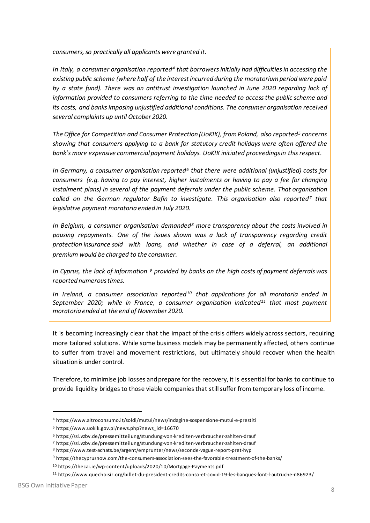*consumers,so practically all applicants were granted it.*

*In Italy, a consumer organisation reported[4](#page-7-0) that borrowers initially had difficulties in accessing the existing public scheme (where half of the interestincurred during the moratorium period were paid by a state fund). There was an antitrust investigation launched in June 2020 regarding lack of information provided to consumers referring to the time needed to access the public scheme and its costs, and banks imposing unjustified additional conditions. The consumer organisation received several complaints up until October 2020.*

*The Office for Competition and Consumer Protection (UoKIK), from Poland, also reported[5](#page-7-1) concerns showing that consumers applying to a bank for statutory credit holidays were often offered the bank's more expensive commercial payment holidays. UoKIK initiated proceedings in this respect.*

*In Germany, a consumer organisation reported[6](#page-7-2) that there were additional (unjustified) costs for consumers (e.g. having to pay interest, higher instalments or having to pay a fee for changing instalment plans) in several of the payment deferrals under the public scheme. That organisation called on the German regulator Bafin to investigate. This organisation also reported[7](#page-7-3) that legislative payment moratoria ended in July 2020.*

*In Belgium, a consumer organisation demanded[8](#page-7-4) more transparency about the costs involved in pausing repayments. One of the issues shown was a lack of transparency regarding credit protection insurance sold with loans, and whether in case of a deferral, an additional premium would be charged to the consumer.*

*In Cyprus, the lack of information [9](#page-7-5) provided by banks on the high costs of payment deferrals was reported numerous times.*

*In Ireland, a consumer association reported[10](#page-7-6) that applications for all moratoria ended in September 2020; while in France, a consumer organisation indicated[11](#page-7-7) that most payment moratoria ended at the end of November 2020.*

It is becoming increasingly clear that the impact of the crisis differs widely across sectors, requiring more tailored solutions. While some business models may be permanently affected, others continue to suffer from travel and movement restrictions, but ultimately should recover when the health situation is under control.

Therefore, to minimise job losses and prepare for the recovery, it is essential for banks to continue to provide liquidity bridges to those viable companies that still suffer from temporary loss of income.

<span id="page-7-0"></span><sup>4</sup> https://www.altroconsumo.it/soldi/mutui/news/indagine-sospensione-mutui-e-prestiti

<span id="page-7-1"></span><sup>5</sup> https://www.uokik.gov.pl/news.php?news\_id=16670

<span id="page-7-2"></span><sup>6</sup> <https://ssl.vzbv.de/pressemitteilung/stundung-von-krediten-verbraucher-zahlten-drauf>

<span id="page-7-3"></span><sup>7</sup> <https://ssl.vzbv.de/pressemitteilung/stundung-von-krediten-verbraucher-zahlten-drauf>

<span id="page-7-4"></span><sup>8</sup> <https://www.test-achats.be/argent/emprunter/news/seconde-vague-report-pret-hyp>

<span id="page-7-5"></span><sup>9</sup> https://thecyprusnow.com/the-consumers-association-sees-the-favorable-treatment-of-the-banks/

<span id="page-7-6"></span><sup>10</sup> https://thecai.ie/wp-content/uploads/2020/10/Mortgage-Payments.pdf

<span id="page-7-7"></span><sup>11</sup> https://www.quechoisir.org/billet-du-president-credits-conso-et-covid-19-les-banques-font-l-autruche-n86923/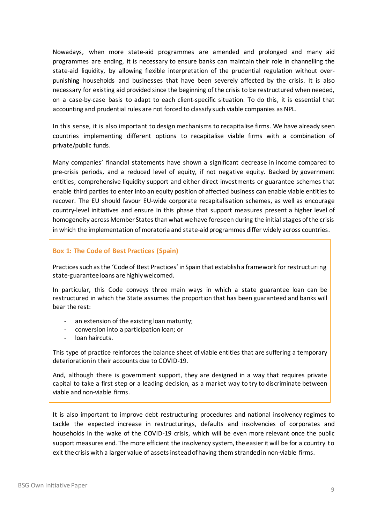Nowadays, when more state-aid programmes are amended and prolonged and many aid programmes are ending, it is necessary to ensure banks can maintain their role in channelling the state-aid liquidity, by allowing flexible interpretation of the prudential regulation without overpunishing households and businesses that have been severely affected by the crisis. It is also necessary for existing aid provided since the beginning of the crisis to be restructured when needed, on a case-by-case basis to adapt to each client-specific situation. To do this, it is essential that accounting and prudential rules are not forced to classify such viable companies as NPL.

In this sense, it is also important to design mechanisms to recapitalise firms. We have already seen countries implementing different options to recapitalise viable firms with a combination of private/public funds.

Many companies' financial statements have shown a significant decrease in income compared to pre-crisis periods, and a reduced level of equity, if not negative equity. Backed by government entities, comprehensive liquidity support and either direct investments or guarantee schemes that enable third parties to enter into an equity position of affected business can enable viable entities to recover. The EU should favour EU-wide corporate recapitalisation schemes, as well as encourage country-level initiatives and ensure in this phase that support measures present a higher level of homogeneity across Member States than what we have foreseen during the initial stages of the crisis in which the implementation of moratoria and state-aid programmes differ widely across countries.

#### **Box 1: The Code of Best Practices (Spain)**

Practices such as the 'Code of Best Practices' in Spain that establish a framework for restructuring state-guarantee loans are highly welcomed.

In particular, this Code conveys three main ways in which a state guarantee loan can be restructured in which the State assumes the proportion that has been guaranteed and banks will bear the rest:

- an extension of the existing loan maturity;
- conversion into a participation loan; or
- loan haircuts.

This type of practice reinforces the balance sheet of viable entities that are suffering a temporary deterioration in their accounts due to COVID-19.

And, although there is government support, they are designed in a way that requires private capital to take a first step or a leading decision, as a market way to try to discriminate between viable and non-viable firms.

It is also important to improve debt restructuring procedures and national insolvency regimes to tackle the expected increase in restructurings, defaults and insolvencies of corporates and households in the wake of the COVID-19 crisis, which will be even more relevant once the public support measures end. The more efficient the insolvency system, the easier it will be for a country to exit the crisis with a larger value of assets instead of having them stranded in non-viable firms.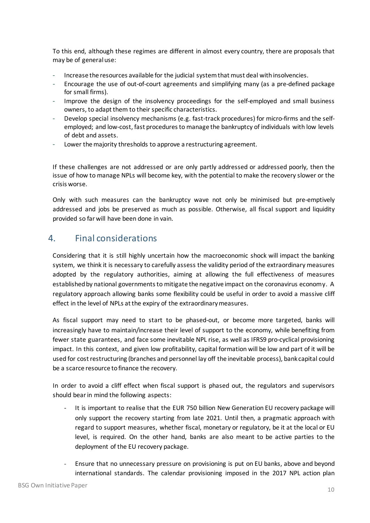To this end, although these regimes are different in almost every country, there are proposals that may be of general use:

- Increase the resources available for the judicial system that must deal with insolvencies.
- Encourage the use of out-of-court agreements and simplifying many (as a pre-defined package for small firms).
- Improve the design of the insolvency proceedings for the self-employed and small business owners, to adapt them to their specific characteristics.
- Develop special insolvency mechanisms (e.g. fast-track procedures) for micro-firms and the selfemployed; and low-cost, fast procedures to manage the bankruptcy of individuals with low levels of debt and assets.
- Lower the majority thresholds to approve a restructuring agreement.

If these challenges are not addressed or are only partly addressed or addressed poorly, then the issue of how to manage NPLs will become key, with the potential to make the recovery slower or the crisis worse.

Only with such measures can the bankruptcy wave not only be minimised but pre-emptively addressed and jobs be preserved as much as possible. Otherwise, all fiscal support and liquidity provided so far will have been done in vain.

## 4. Final considerations

Considering that it is still highly uncertain how the macroeconomic shock will impact the banking system, we think it is necessary to carefully assess the validity period of the extraordinary measures adopted by the regulatory authorities, aiming at allowing the full effectiveness of measures established by national governments to mitigate the negative impact on the coronavirus economy. A regulatory approach allowing banks some flexibility could be useful in order to avoid a massive cliff effect in the level of NPLs at the expiry of the extraordinary measures.

As fiscal support may need to start to be phased-out, or become more targeted, banks will increasingly have to maintain/increase their level of support to the economy, while benefiting from fewer state guarantees, and face some inevitable NPL rise, as well as IFRS9 pro-cyclical provisioning impact. In this context, and given low profitability, capital formation will be low and part of it will be used for cost restructuring (branches and personnel lay off the inevitable process), bank capital could be a scarce resource to finance the recovery.

In order to avoid a cliff effect when fiscal support is phased out, the regulators and supervisors should bear in mind the following aspects:

- It is important to realise that the EUR 750 billion New Generation EU recovery package will only support the recovery starting from late 2021. Until then, a pragmatic approach with regard to support measures, whether fiscal, monetary or regulatory, be it at the local or EU level, is required. On the other hand, banks are also meant to be active parties to the deployment of the EU recovery package.
- Ensure that no unnecessary pressure on provisioning is put on EU banks, above and beyond international standards. The calendar provisioning imposed in the 2017 NPL action plan